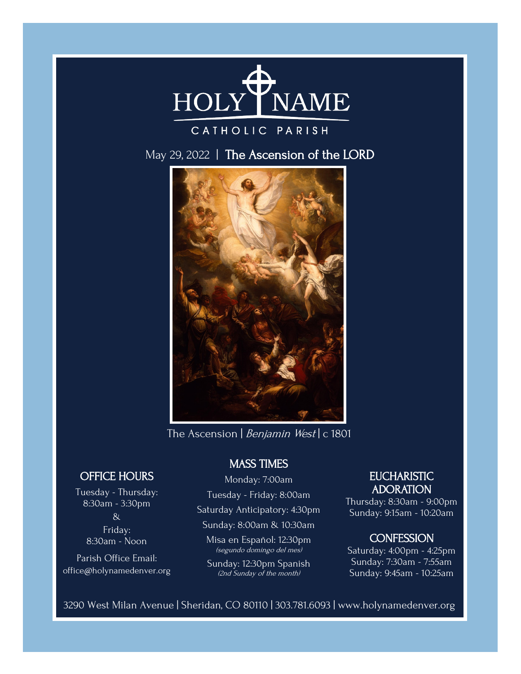

# CATHOLIC PARISH

May 29, 2022 | The Ascension of the LORD



The Ascension | Benjamin West | c 1801

# OFFICE HOURS

Tuesday - Thursday: 8:30am - 3:30pm & Friday: 8:30am - Noon

Parish Office Email: office@holynamedenver.org

# MASS TIMES

Monday: 7:00am

Tuesday - Friday: 8:00am

Saturday Anticipatory: 4:30pm

Sunday: 8:00am & 10:30am

Misa en Español: 12:30pm (segundo domingo del mes)

Sunday: 12:30pm Spanish (2nd Sunday of the month)

# **EUCHARISTIC** ADORATION

Thursday: 8:30am - 9:00pm Sunday: 9:15am - 10:20am

# **CONFESSION**

Saturday: 4:00pm - 4:25pm Sunday: 7:30am - 7:55am Sunday: 9:45am - 10:25am

3290 West Milan Avenue | Sheridan, CO 80110 | 303.781.6093 | www.holynamedenver.org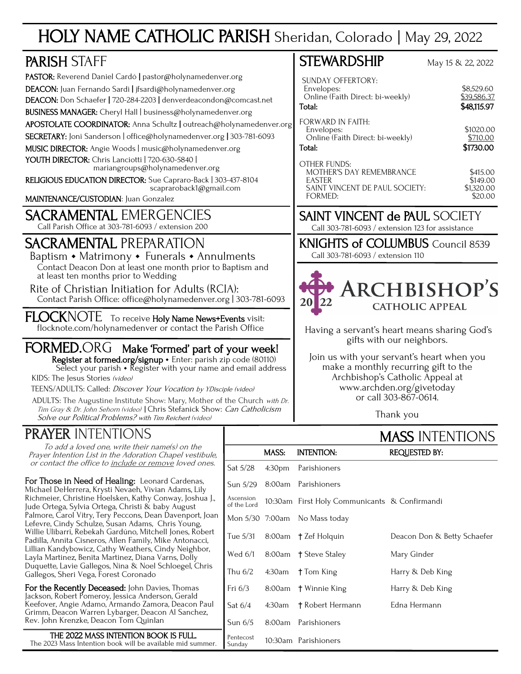# HOLY NAME CATHOLIC PARISH Sheridan, Colorado | May 29, 2022

| <b>PARISH STAFF</b>                                                                                                                                                                                                                                                                                                                                                                                                                                                                                                 | <b>STEWARDSHIP</b>                                                                                                                                                                                                    | May 15 & 22, 2022                             |
|---------------------------------------------------------------------------------------------------------------------------------------------------------------------------------------------------------------------------------------------------------------------------------------------------------------------------------------------------------------------------------------------------------------------------------------------------------------------------------------------------------------------|-----------------------------------------------------------------------------------------------------------------------------------------------------------------------------------------------------------------------|-----------------------------------------------|
| PASTOR: Reverend Daniel Cardó   pastor@holynamedenver.org<br>DEACON: Juan Fernando Sardi   jfsardi@holynamedenver.org<br>DEACON: Don Schaefer   720-284-2203   denverdeacondon@comcast.net<br>BUSINESS MANAGER: Cheryl Hall   business@holynamedenver.org                                                                                                                                                                                                                                                           | <b>SUNDAY OFFERTORY:</b><br>Envelopes:<br>Online (Faith Direct: bi-weekly)<br>Total:<br><b>FORWARD IN FAITH:</b>                                                                                                      | \$8,529.60<br>\$39,586.37<br>\$48,115.97      |
| APOSTOLATE COORDINATOR: Anna Schultz   outreach@holynamedenver.org<br>SECRETARY: Joni Sanderson   office@holynamedenver.org   303-781-6093<br>MUSIC DIRECTOR: Angie Woods   music@holynamedenver.org<br>YOUTH DIRECTOR: Chris Lanciotti   720-630-5840  <br>mariangroups@holynamedenver.org                                                                                                                                                                                                                         | Envelopes:<br>Online (Faith Direct: bi-weekly)<br>Total:<br><b>OTHER FUNDS:</b>                                                                                                                                       | \$1020.00<br>\$710.00<br>\$1730.00            |
| RELIGIOUS EDUCATION DIRECTOR: Sue Capraro-Back   303-437-8104<br>scapraroback1@gmail.com<br>MAINTENANCE/CUSTODIAN: Juan Gonzalez                                                                                                                                                                                                                                                                                                                                                                                    | MOTHER'S DAY REMEMBRANCE<br><b>EASTER</b><br>SAINT VINCENT DE PAUL SOCIETY:<br><b>FORMED:</b>                                                                                                                         | \$415.00<br>\$149.00<br>\$1,320.00<br>\$20.00 |
| <b>SACRAMENTAL EMERGENCIES</b><br>Call Parish Office at 303-781-6093 / extension 200                                                                                                                                                                                                                                                                                                                                                                                                                                | <b>SAINT VINCENT de PAUL SOCIETY</b><br>Call 303-781-6093 / extension 123 for assistance                                                                                                                              |                                               |
| <b>SACRAMENTAL PREPARATION</b><br>Baptism • Matrimony • Funerals • Annulments<br>Contact Deacon Don at least one month prior to Baptism and<br>at least ten months prior to Wedding<br>Rite of Christian Initiation for Adults (RCIA):<br>Contact Parish Office: office@holynamedenver.org   303-781-6093                                                                                                                                                                                                           | <b>KNIGHTS of COLUMBUS</b> Council 8539<br>Call 303-781-6093 / extension 110<br><b>ARCHBISHOP'S</b><br><b>20</b> l<br><b>CATHOLIC APPEAL</b>                                                                          |                                               |
| FLOCKNOTE To receive Holy Name News+Events visit:<br>flocknote.com/holynamedenver or contact the Parish Office                                                                                                                                                                                                                                                                                                                                                                                                      | Having a servant's heart means sharing God's                                                                                                                                                                          |                                               |
| FORMED.ORG Make 'Formed' part of your week!<br>Register at formed.org/signup · Enter: parish zip code (80110)<br>Select your parish $\cdot$ Register with your name and email address<br>KIDS: The Jesus Stories (video)<br>TEENS/ADULTS: Called: Discover Your Vocation by YDisciple (video)<br>ADULTS: The Augustine Institute Show: Mary, Mother of the Church with Dr.<br>Tim Gray & Dr. John Sehorn (video)   Chris Stefanick Show: Can Catholicism<br>Solve our Political Problems? with Tim Reichert (video) | gifts with our neighbors.<br>Join us with your servant's heart when you<br>make a monthly recurring gift to the<br>Archbishop's Catholic Appeal at<br>www.archden.org/givetoday<br>or call 303-867-0614.<br>Thank you |                                               |

# PRAYER INTENTIONS

To add a loved one, write their name(s) on the Prayer Intention List in the Adoration Chapel vestibule, or contact the office to include or remove loved ones.

For Those in Need of Healing: Leonard Cardenas, Michael DeHerrera, Krysti Nevaeh, Vivian Adams, Lily Richmeier, Christine Hoelsken, Kathy Conway, Joshua J., Jude Ortega, Sylvia Ortega, Christi & baby August Palmore, Carol Vitry, Tery Peccons, Dean Davenport, Joan Lefevre, Cindy Schulze, Susan Adams, Chris Young, Willie Ulibarri, Rebekah Gardúno, Mitchell Jones, Robert Padilla, Annita Cisneros, Allen Family, Mike Antonacci, Lillian Kandybowicz, Cathy Weathers, Cindy Neighbor, Layla Martinez, Benita Martinez, Diana Varns, Dolly Duquette, Lavie Gallegos, Nina & Noel Schloegel, Chris Gallegos, Sheri Vega, Forest Coronado

For the Recently Deceased: John Davies, Thomas Jackson, Robert Pomeroy, Jessica Anderson, Gerald Keefover, Angie Adamo, Armando Zamora, Deacon Paul Grimm, Deacon Warren Lybarger, Deacon Al Sanchez, Rev. John Krenzke, Deacon Tom Quinlan

THE 2022 MASS INTENTION BOOK IS FULL. The 2023 Mass Intention book will be available mid summer. MASS INTENTIONS

|                          |        |                                               | .                           |
|--------------------------|--------|-----------------------------------------------|-----------------------------|
|                          | MASS:  | <b>INTENTION:</b>                             | REQUESTED BY:               |
| Sat 5/28                 | 4:30pm | Parishioners                                  |                             |
| Sun 5/29                 |        | 8:00am Parishioners                           |                             |
| Ascension<br>of the Lord |        | 10:30am First Holy Communicants & Confirmandi |                             |
|                          |        | Mon 5/30 7:00am No Mass today                 |                             |
| Tue 5/31                 |        | 8:00am † Zef Holquin                          | Deacon Don & Betty Schaefer |
| Wed $6/1$                |        | 8:00am † Steve Staley                         | Mary Ginder                 |
| Thu $6/2$                | 4:30am | † Tom King                                    | Harry & Deb King            |
| Fri $6/3$                | 8:00am | † Winnie King                                 | Harry & Deb King            |
| Sat $6/4$                | 4:30am | † Robert Hermann                              | Edna Hermann                |
| Sun $6/5$                | 8:00am | Parishioners                                  |                             |
| Pentecost<br>Sundav      |        | 10:30am Parishioners                          |                             |